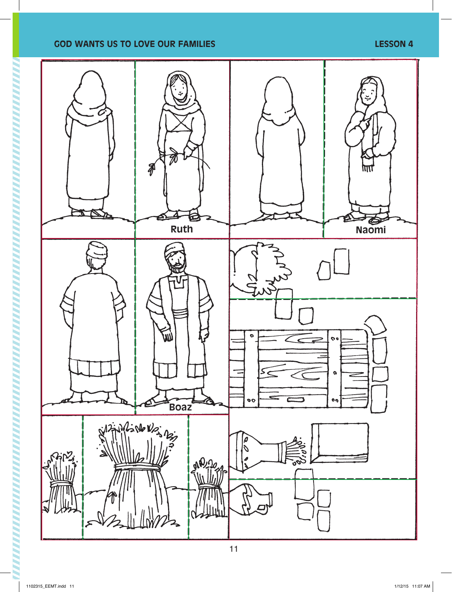## **GOD WANTS US TO LOVE OUR FAMILIES LESSON 4**